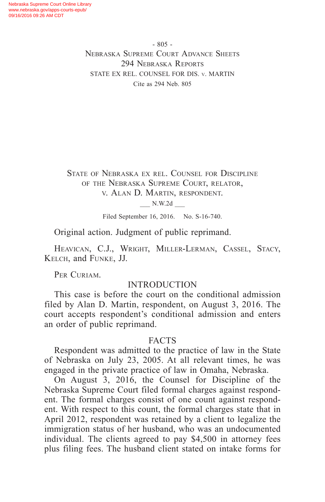- 805 - Nebraska Supreme Court Advance Sheets 294 Nebraska Reports STATE EX REL. COUNSEL FOR DIS. v. MARTIN Cite as 294 Neb. 805

State of Nebraska ex rel. Counsel for Discipline of the Nebraska Supreme Court, relator, v. Alan D. Martin, respondent.

\_\_\_ N.W.2d \_\_\_

Filed September 16, 2016. No. S-16-740.

Original action. Judgment of public reprimand.

HEAVICAN, C.J., WRIGHT, MILLER-LERMAN, CASSEL, STACY, Kelch, and Funke, JJ.

PER CURIAM.

## INTRODUCTION

This case is before the court on the conditional admission filed by Alan D. Martin, respondent, on August 3, 2016. The court accepts respondent's conditional admission and enters an order of public reprimand.

#### FACTS

Respondent was admitted to the practice of law in the State of Nebraska on July 23, 2005. At all relevant times, he was engaged in the private practice of law in Omaha, Nebraska.

On August 3, 2016, the Counsel for Discipline of the Nebraska Supreme Court filed formal charges against respondent. The formal charges consist of one count against respondent. With respect to this count, the formal charges state that in April 2012, respondent was retained by a client to legalize the immigration status of her husband, who was an undocumented individual. The clients agreed to pay \$4,500 in attorney fees plus filing fees. The husband client stated on intake forms for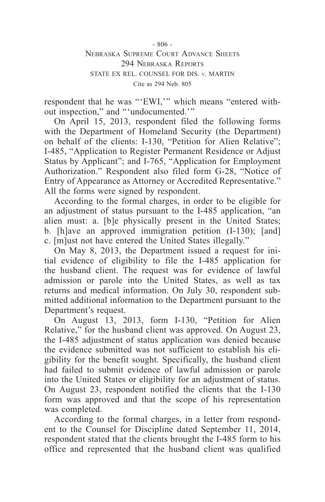- 806 -

# Nebraska Supreme Court Advance Sheets 294 Nebraska Reports STATE EX REL. COUNSEL FOR DIS. v. MARTIN Cite as 294 Neb. 805

respondent that he was "'EWI,'" which means "entered without inspection," and "'undocumented.'"

On April 15, 2013, respondent filed the following forms with the Department of Homeland Security (the Department) on behalf of the clients: I-130, "Petition for Alien Relative"; I-485, "Application to Register Permanent Residence or Adjust Status by Applicant"; and I-765, "Application for Employment Authorization." Respondent also filed form G-28, "Notice of Entry of Appearance as Attorney or Accredited Representative." All the forms were signed by respondent.

According to the formal charges, in order to be eligible for an adjustment of status pursuant to the I-485 application, "an alien must: a. [b]e physically present in the United States; b. [h]ave an approved immigration petition (I-130); [and] c. [m]ust not have entered the United States illegally."

On May 8, 2013, the Department issued a request for initial evidence of eligibility to file the I-485 application for the husband client. The request was for evidence of lawful admission or parole into the United States, as well as tax returns and medical information. On July 30, respondent submitted additional information to the Department pursuant to the Department's request.

On August 13, 2013, form I-130, "Petition for Alien Relative," for the husband client was approved. On August 23, the I-485 adjustment of status application was denied because the evidence submitted was not sufficient to establish his eligibility for the benefit sought. Specifically, the husband client had failed to submit evidence of lawful admission or parole into the United States or eligibility for an adjustment of status. On August 23, respondent notified the clients that the I-130 form was approved and that the scope of his representation was completed.

According to the formal charges, in a letter from respondent to the Counsel for Discipline dated September 11, 2014, respondent stated that the clients brought the I-485 form to his office and represented that the husband client was qualified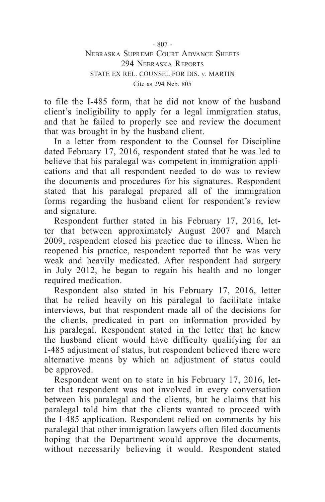- 807 - Nebraska Supreme Court Advance Sheets 294 Nebraska Reports STATE EX REL. COUNSEL FOR DIS. v. MARTIN Cite as 294 Neb. 805

to file the I-485 form, that he did not know of the husband client's ineligibility to apply for a legal immigration status, and that he failed to properly see and review the document that was brought in by the husband client.

In a letter from respondent to the Counsel for Discipline dated February 17, 2016, respondent stated that he was led to believe that his paralegal was competent in immigration applications and that all respondent needed to do was to review the documents and procedures for his signatures. Respondent stated that his paralegal prepared all of the immigration forms regarding the husband client for respondent's review and signature.

Respondent further stated in his February 17, 2016, letter that between approximately August 2007 and March 2009, respondent closed his practice due to illness. When he reopened his practice, respondent reported that he was very weak and heavily medicated. After respondent had surgery in July 2012, he began to regain his health and no longer required medication.

Respondent also stated in his February 17, 2016, letter that he relied heavily on his paralegal to facilitate intake interviews, but that respondent made all of the decisions for the clients, predicated in part on information provided by his paralegal. Respondent stated in the letter that he knew the husband client would have difficulty qualifying for an I-485 adjustment of status, but respondent believed there were alternative means by which an adjustment of status could be approved.

Respondent went on to state in his February 17, 2016, letter that respondent was not involved in every conversation between his paralegal and the clients, but he claims that his paralegal told him that the clients wanted to proceed with the I-485 application. Respondent relied on comments by his paralegal that other immigration lawyers often filed documents hoping that the Department would approve the documents, without necessarily believing it would. Respondent stated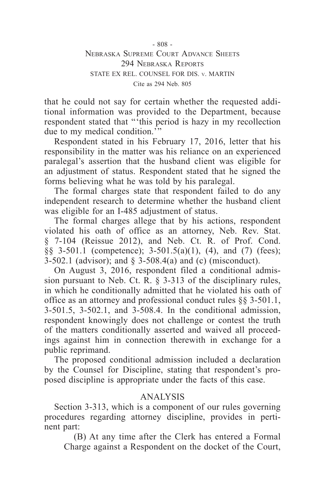- 808 - Nebraska Supreme Court Advance Sheets 294 Nebraska Reports STATE EX REL. COUNSEL FOR DIS. v. MARTIN Cite as 294 Neb. 805

that he could not say for certain whether the requested additional information was provided to the Department, because respondent stated that "'this period is hazy in my recollection due to my medical condition.'"

Respondent stated in his February 17, 2016, letter that his responsibility in the matter was his reliance on an experienced paralegal's assertion that the husband client was eligible for an adjustment of status. Respondent stated that he signed the forms believing what he was told by his paralegal.

The formal charges state that respondent failed to do any independent research to determine whether the husband client was eligible for an I-485 adjustment of status.

The formal charges allege that by his actions, respondent violated his oath of office as an attorney, Neb. Rev. Stat. § 7-104 (Reissue 2012), and Neb. Ct. R. of Prof. Cond. §§ 3-501.1 (competence); 3-501.5(a)(1), (4), and (7) (fees); 3-502.1 (advisor); and § 3-508.4(a) and (c) (misconduct).

On August 3, 2016, respondent filed a conditional admission pursuant to Neb. Ct. R. § 3-313 of the disciplinary rules, in which he conditionally admitted that he violated his oath of office as an attorney and professional conduct rules §§ 3-501.1, 3-501.5, 3-502.1, and 3-508.4. In the conditional admission, respondent knowingly does not challenge or contest the truth of the matters conditionally asserted and waived all proceedings against him in connection therewith in exchange for a public reprimand.

The proposed conditional admission included a declaration by the Counsel for Discipline, stating that respondent's proposed discipline is appropriate under the facts of this case.

## ANALYSIS

Section 3-313, which is a component of our rules governing procedures regarding attorney discipline, provides in pertinent part:

(B) At any time after the Clerk has entered a Formal Charge against a Respondent on the docket of the Court,